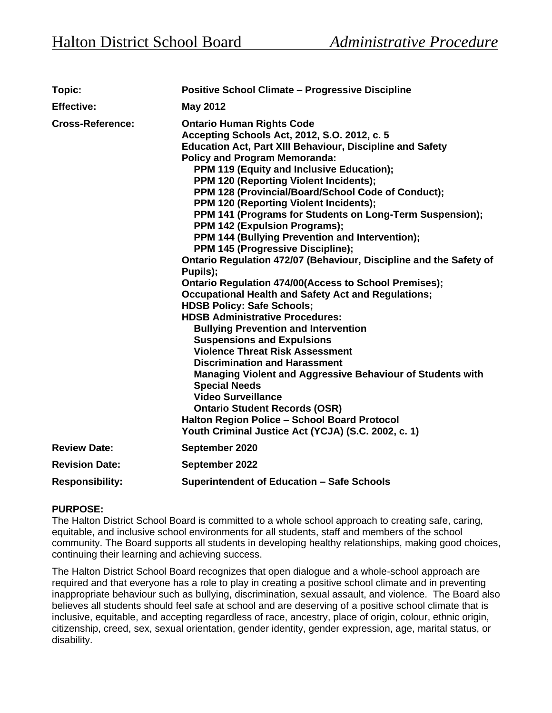| <b>Topic:</b>           | <b>Positive School Climate - Progressive Discipline</b>                                                                                                                                                                                                                                                                                                                                                                                                                                                                                                                                                                                                                                                                                                                                                                                                                                                                                                                                                                                                                                                                                                                                                                                                                                                                       |  |
|-------------------------|-------------------------------------------------------------------------------------------------------------------------------------------------------------------------------------------------------------------------------------------------------------------------------------------------------------------------------------------------------------------------------------------------------------------------------------------------------------------------------------------------------------------------------------------------------------------------------------------------------------------------------------------------------------------------------------------------------------------------------------------------------------------------------------------------------------------------------------------------------------------------------------------------------------------------------------------------------------------------------------------------------------------------------------------------------------------------------------------------------------------------------------------------------------------------------------------------------------------------------------------------------------------------------------------------------------------------------|--|
| <b>Effective:</b>       | <b>May 2012</b>                                                                                                                                                                                                                                                                                                                                                                                                                                                                                                                                                                                                                                                                                                                                                                                                                                                                                                                                                                                                                                                                                                                                                                                                                                                                                                               |  |
| <b>Cross-Reference:</b> | <b>Ontario Human Rights Code</b><br>Accepting Schools Act, 2012, S.O. 2012, c. 5<br><b>Education Act, Part XIII Behaviour, Discipline and Safety</b><br><b>Policy and Program Memoranda:</b><br>PPM 119 (Equity and Inclusive Education);<br>PPM 120 (Reporting Violent Incidents);<br>PPM 128 (Provincial/Board/School Code of Conduct);<br><b>PPM 120 (Reporting Violent Incidents);</b><br>PPM 141 (Programs for Students on Long-Term Suspension);<br>PPM 142 (Expulsion Programs);<br>PPM 144 (Bullying Prevention and Intervention);<br>PPM 145 (Progressive Discipline);<br>Ontario Regulation 472/07 (Behaviour, Discipline and the Safety of<br>Pupils);<br><b>Ontario Regulation 474/00(Access to School Premises);</b><br><b>Occupational Health and Safety Act and Regulations;</b><br><b>HDSB Policy: Safe Schools;</b><br><b>HDSB Administrative Procedures:</b><br><b>Bullying Prevention and Intervention</b><br><b>Suspensions and Expulsions</b><br><b>Violence Threat Risk Assessment</b><br><b>Discrimination and Harassment</b><br>Managing Violent and Aggressive Behaviour of Students with<br><b>Special Needs</b><br><b>Video Surveillance</b><br><b>Ontario Student Records (OSR)</b><br><b>Halton Region Police - School Board Protocol</b><br>Youth Criminal Justice Act (YCJA) (S.C. 2002, c. 1) |  |
| <b>Review Date:</b>     | September 2020                                                                                                                                                                                                                                                                                                                                                                                                                                                                                                                                                                                                                                                                                                                                                                                                                                                                                                                                                                                                                                                                                                                                                                                                                                                                                                                |  |
| <b>Revision Date:</b>   | September 2022                                                                                                                                                                                                                                                                                                                                                                                                                                                                                                                                                                                                                                                                                                                                                                                                                                                                                                                                                                                                                                                                                                                                                                                                                                                                                                                |  |
| <b>Responsibility:</b>  | <b>Superintendent of Education - Safe Schools</b>                                                                                                                                                                                                                                                                                                                                                                                                                                                                                                                                                                                                                                                                                                                                                                                                                                                                                                                                                                                                                                                                                                                                                                                                                                                                             |  |

## **PURPOSE:**

The Halton District School Board is committed to a whole school approach to creating safe, caring, equitable, and inclusive school environments for all students, staff and members of the school community. The Board supports all students in developing healthy relationships, making good choices, continuing their learning and achieving success.

The Halton District School Board recognizes that open dialogue and a whole-school approach are required and that everyone has a role to play in creating a positive school climate and in preventing inappropriate behaviour such as bullying, discrimination, sexual assault, and violence. The Board also believes all students should feel safe at school and are deserving of a positive school climate that is inclusive, equitable, and accepting regardless of race, ancestry, place of origin, colour, ethnic origin, citizenship, creed, sex, sexual orientation, gender identity, gender expression, age, marital status, or disability.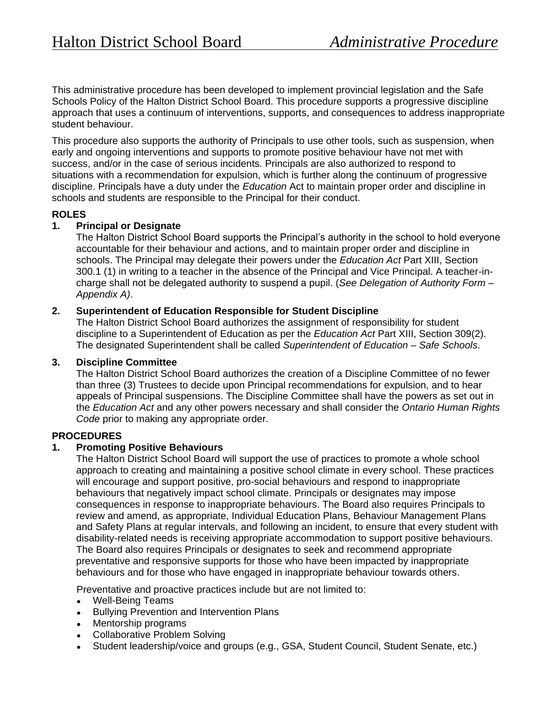This administrative procedure has been developed to implement provincial legislation and the Safe Schools Policy of the Halton District School Board. This procedure supports a progressive discipline approach that uses a continuum of interventions, supports, and consequences to address inappropriate student behaviour.

This procedure also supports the authority of Principals to use other tools, such as suspension, when early and ongoing interventions and supports to promote positive behaviour have not met with success, and/or in the case of serious incidents. Principals are also authorized to respond to situations with a recommendation for expulsion, which is further along the continuum of progressive discipline. Principals have a duty under the *Education* Act to maintain proper order and discipline in schools and students are responsible to the Principal for their conduct.

## **ROLES**

## **1. Principal or Designate**

The Halton District School Board supports the Principal's authority in the school to hold everyone accountable for their behaviour and actions, and to maintain proper order and discipline in schools. The Principal may delegate their powers under the *Education Act* Part XIII, Section 300.1 (1) in writing to a teacher in the absence of the Principal and Vice Principal. A teacher-incharge shall not be delegated authority to suspend a pupil. (*See Delegation of Authority Form – Appendix A)*.

## **2. Superintendent of Education Responsible for Student Discipline**

The Halton District School Board authorizes the assignment of responsibility for student discipline to a Superintendent of Education as per the *Education Act* Part XIII, Section 309(2). The designated Superintendent shall be called *Superintendent of Education – Safe Schools*.

## **3. Discipline Committee**

The Halton District School Board authorizes the creation of a Discipline Committee of no fewer than three (3) Trustees to decide upon Principal recommendations for expulsion, and to hear appeals of Principal suspensions. The Discipline Committee shall have the powers as set out in the *Education Act* and any other powers necessary and shall consider the *Ontario Human Rights Code* prior to making any appropriate order.

## **PROCEDURES**

## **1. Promoting Positive Behaviours**

The Halton District School Board will support the use of practices to promote a whole school approach to creating and maintaining a positive school climate in every school. These practices will encourage and support positive, pro-social behaviours and respond to inappropriate behaviours that negatively impact school climate. Principals or designates may impose consequences in response to inappropriate behaviours. The Board also requires Principals to review and amend, as appropriate, Individual Education Plans, Behaviour Management Plans and Safety Plans at regular intervals, and following an incident, to ensure that every student with disability-related needs is receiving appropriate accommodation to support positive behaviours. The Board also requires Principals or designates to seek and recommend appropriate preventative and responsive supports for those who have been impacted by inappropriate behaviours and for those who have engaged in inappropriate behaviour towards others.

Preventative and proactive practices include but are not limited to:

- Well-Being Teams
- Bullying Prevention and Intervention Plans
- Mentorship programs
- Collaborative Problem Solving
- Student leadership/voice and groups (e.g., GSA, Student Council, Student Senate, etc.)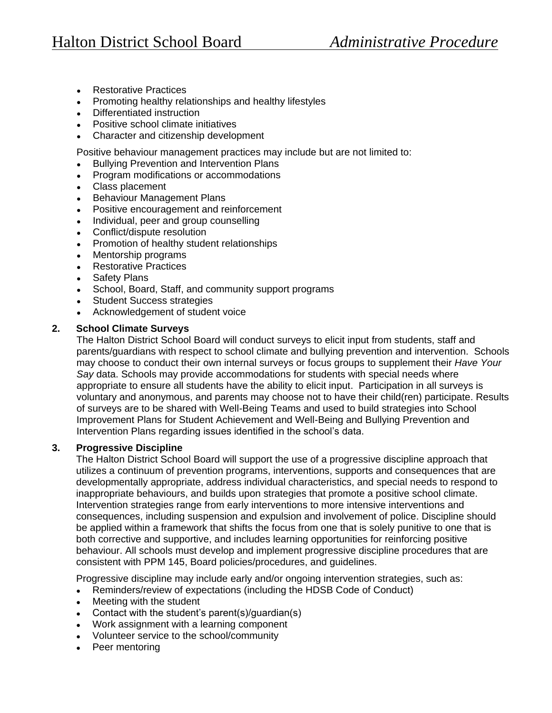- Restorative Practices
- Promoting healthy relationships and healthy lifestyles
- Differentiated instruction
- Positive school climate initiatives
- Character and citizenship development

Positive behaviour management practices may include but are not limited to:

- Bullying Prevention and Intervention Plans
- Program modifications or accommodations
- Class placement
- **Behaviour Management Plans**
- Positive encouragement and reinforcement
- Individual, peer and group counselling
- Conflict/dispute resolution
- Promotion of healthy student relationships
- Mentorship programs
- Restorative Practices
- Safety Plans
- School, Board, Staff, and community support programs
- **Student Success strategies**
- Acknowledgement of student voice

## **2. School Climate Surveys**

The Halton District School Board will conduct surveys to elicit input from students, staff and parents/guardians with respect to school climate and bullying prevention and intervention. Schools may choose to conduct their own internal surveys or focus groups to supplement their *Have Your Say* data. Schools may provide accommodations for students with special needs where appropriate to ensure all students have the ability to elicit input. Participation in all surveys is voluntary and anonymous, and parents may choose not to have their child(ren) participate. Results of surveys are to be shared with Well-Being Teams and used to build strategies into School Improvement Plans for Student Achievement and Well-Being and Bullying Prevention and Intervention Plans regarding issues identified in the school's data.

## **3. Progressive Discipline**

The Halton District School Board will support the use of a progressive discipline approach that utilizes a continuum of prevention programs, interventions, supports and consequences that are developmentally appropriate, address individual characteristics, and special needs to respond to inappropriate behaviours, and builds upon strategies that promote a positive school climate. Intervention strategies range from early interventions to more intensive interventions and consequences, including suspension and expulsion and involvement of police. Discipline should be applied within a framework that shifts the focus from one that is solely punitive to one that is both corrective and supportive, and includes learning opportunities for reinforcing positive behaviour. All schools must develop and implement progressive discipline procedures that are consistent with PPM 145, Board policies/procedures, and guidelines.

Progressive discipline may include early and/or ongoing intervention strategies, such as:

- Reminders/review of expectations (including the HDSB Code of Conduct)
- Meeting with the student
- Contact with the student's parent(s)/guardian(s)
- Work assignment with a learning component
- Volunteer service to the school/community
- Peer mentoring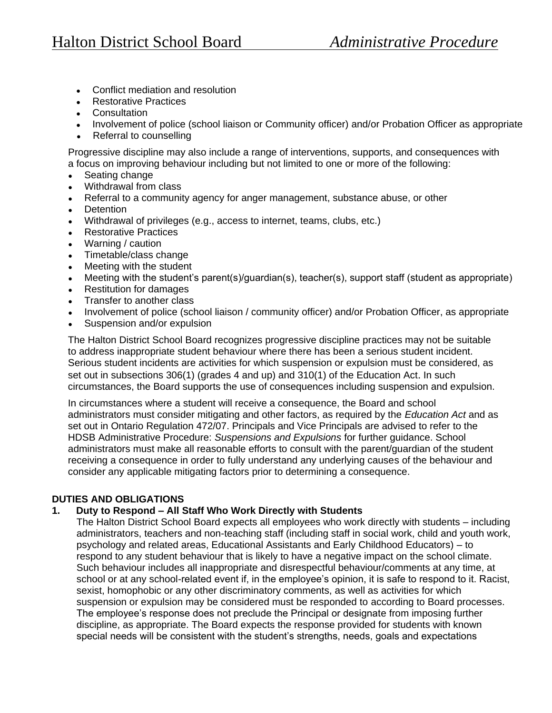- Conflict mediation and resolution
- **Restorative Practices**
- Consultation
- Involvement of police (school liaison or Community officer) and/or Probation Officer as appropriate
- Referral to counselling

Progressive discipline may also include a range of interventions, supports, and consequences with a focus on improving behaviour including but not limited to one or more of the following:

- $\bullet$  Seating change
- Withdrawal from class
- Referral to a community agency for anger management, substance abuse, or other
- Detention
- Withdrawal of privileges (e.g., access to internet, teams, clubs, etc.)
- Restorative Practices
- Warning / caution
- Timetable/class change
- Meeting with the student
- Meeting with the student's parent(s)/guardian(s), teacher(s), support staff (student as appropriate)
- Restitution for damages
- Transfer to another class
- Involvement of police (school liaison / community officer) and/or Probation Officer, as appropriate
- Suspension and/or expulsion

The Halton District School Board recognizes progressive discipline practices may not be suitable to address inappropriate student behaviour where there has been a serious student incident. Serious student incidents are activities for which suspension or expulsion must be considered, as set out in subsections 306(1) (grades 4 and up) and 310(1) of the Education Act. In such circumstances, the Board supports the use of consequences including suspension and expulsion.

In circumstances where a student will receive a consequence, the Board and school administrators must consider mitigating and other factors, as required by the *Education Act* and as set out in Ontario Regulation 472/07. Principals and Vice Principals are advised to refer to the HDSB Administrative Procedure: *Suspensions and Expulsions* for further guidance. School administrators must make all reasonable efforts to consult with the parent/guardian of the student receiving a consequence in order to fully understand any underlying causes of the behaviour and consider any applicable mitigating factors prior to determining a consequence.

## **DUTIES AND OBLIGATIONS**

## **1. Duty to Respond – All Staff Who Work Directly with Students**

The Halton District School Board expects all employees who work directly with students – including administrators, teachers and non-teaching staff (including staff in social work, child and youth work, psychology and related areas, Educational Assistants and Early Childhood Educators) – to respond to any student behaviour that is likely to have a negative impact on the school climate. Such behaviour includes all inappropriate and disrespectful behaviour/comments at any time, at school or at any school-related event if, in the employee's opinion, it is safe to respond to it. Racist, sexist, homophobic or any other discriminatory comments, as well as activities for which suspension or expulsion may be considered must be responded to according to Board processes. The employee's response does not preclude the Principal or designate from imposing further discipline, as appropriate. The Board expects the response provided for students with known special needs will be consistent with the student's strengths, needs, goals and expectations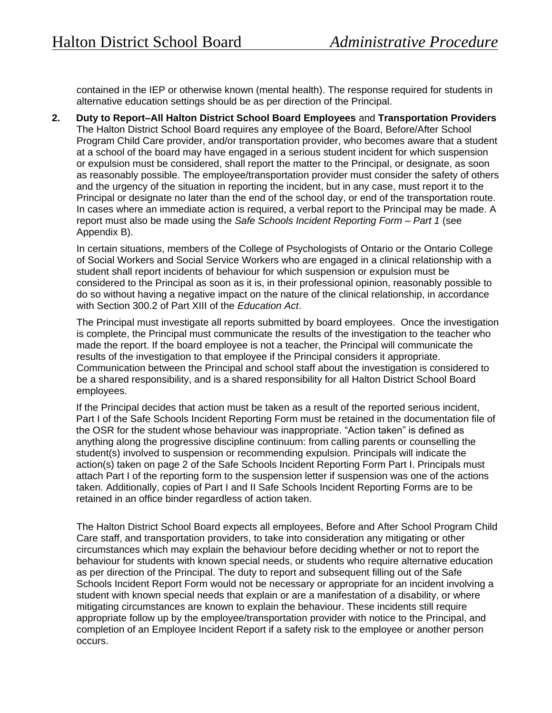contained in the IEP or otherwise known (mental health). The response required for students in alternative education settings should be as per direction of the Principal.

**2. Duty to Report–All Halton District School Board Employees** and **Transportation Providers** The Halton District School Board requires any employee of the Board, Before/After School Program Child Care provider, and/or transportation provider, who becomes aware that a student at a school of the board may have engaged in a serious student incident for which suspension or expulsion must be considered, shall report the matter to the Principal, or designate, as soon as reasonably possible. The employee/transportation provider must consider the safety of others and the urgency of the situation in reporting the incident, but in any case, must report it to the Principal or designate no later than the end of the school day, or end of the transportation route. In cases where an immediate action is required, a verbal report to the Principal may be made. A report must also be made using the *Safe Schools Incident Reporting Form – Part 1* (see Appendix B).

In certain situations, members of the College of Psychologists of Ontario or the Ontario College of Social Workers and Social Service Workers who are engaged in a clinical relationship with a student shall report incidents of behaviour for which suspension or expulsion must be considered to the Principal as soon as it is, in their professional opinion, reasonably possible to do so without having a negative impact on the nature of the clinical relationship, in accordance with Section 300.2 of Part XIII of the *Education Act*.

The Principal must investigate all reports submitted by board employees. Once the investigation is complete, the Principal must communicate the results of the investigation to the teacher who made the report. If the board employee is not a teacher, the Principal will communicate the results of the investigation to that employee if the Principal considers it appropriate. Communication between the Principal and school staff about the investigation is considered to be a shared responsibility, and is a shared responsibility for all Halton District School Board employees.

If the Principal decides that action must be taken as a result of the reported serious incident, Part I of the Safe Schools Incident Reporting Form must be retained in the documentation file of the OSR for the student whose behaviour was inappropriate. "Action taken" is defined as anything along the progressive discipline continuum: from calling parents or counselling the student(s) involved to suspension or recommending expulsion. Principals will indicate the action(s) taken on page 2 of the Safe Schools Incident Reporting Form Part I. Principals must attach Part I of the reporting form to the suspension letter if suspension was one of the actions taken. Additionally, copies of Part I and II Safe Schools Incident Reporting Forms are to be retained in an office binder regardless of action taken.

The Halton District School Board expects all employees, Before and After School Program Child Care staff, and transportation providers, to take into consideration any mitigating or other circumstances which may explain the behaviour before deciding whether or not to report the behaviour for students with known special needs, or students who require alternative education as per direction of the Principal. The duty to report and subsequent filling out of the Safe Schools Incident Report Form would not be necessary or appropriate for an incident involving a student with known special needs that explain or are a manifestation of a disability, or where mitigating circumstances are known to explain the behaviour. These incidents still require appropriate follow up by the employee/transportation provider with notice to the Principal, and completion of an Employee Incident Report if a safety risk to the employee or another person occurs.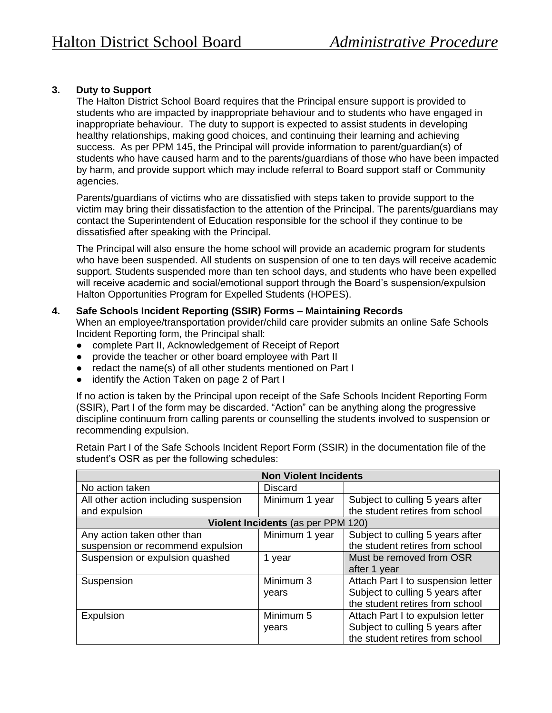## **3. Duty to Support**

The Halton District School Board requires that the Principal ensure support is provided to students who are impacted by inappropriate behaviour and to students who have engaged in inappropriate behaviour. The duty to support is expected to assist students in developing healthy relationships, making good choices, and continuing their learning and achieving success. As per PPM 145, the Principal will provide information to parent/guardian(s) of students who have caused harm and to the parents/guardians of those who have been impacted by harm, and provide support which may include referral to Board support staff or Community agencies.

Parents/guardians of victims who are dissatisfied with steps taken to provide support to the victim may bring their dissatisfaction to the attention of the Principal. The parents/guardians may contact the Superintendent of Education responsible for the school if they continue to be dissatisfied after speaking with the Principal.

The Principal will also ensure the home school will provide an academic program for students who have been suspended. All students on suspension of one to ten days will receive academic support. Students suspended more than ten school days, and students who have been expelled will receive academic and social/emotional support through the Board's suspension/expulsion Halton Opportunities Program for Expelled Students (HOPES).

#### **4. Safe Schools Incident Reporting (SSIR) Forms – Maintaining Records**

When an employee/transportation provider/child care provider submits an online Safe Schools Incident Reporting form, the Principal shall:

- complete Part II, Acknowledgement of Receipt of Report
- provide the teacher or other board employee with Part II
- redact the name(s) of all other students mentioned on Part I
- identify the Action Taken on page 2 of Part I

If no action is taken by the Principal upon receipt of the Safe Schools Incident Reporting Form (SSIR), Part I of the form may be discarded. "Action" can be anything along the progressive discipline continuum from calling parents or counselling the students involved to suspension or recommending expulsion.

Retain Part I of the Safe Schools Incident Report Form (SSIR) in the documentation file of the student's OSR as per the following schedules:

|                                       | <b>Non Violent Incidents</b>       |                                    |
|---------------------------------------|------------------------------------|------------------------------------|
| No action taken                       | <b>Discard</b>                     |                                    |
| All other action including suspension | Minimum 1 year                     | Subject to culling 5 years after   |
| and expulsion                         |                                    | the student retires from school    |
|                                       | Violent Incidents (as per PPM 120) |                                    |
| Any action taken other than           | Minimum 1 year                     | Subject to culling 5 years after   |
| suspension or recommend expulsion     |                                    | the student retires from school    |
| Suspension or expulsion quashed       | 1 year                             | Must be removed from OSR           |
|                                       |                                    | after 1 year                       |
| Suspension                            | Minimum 3                          | Attach Part I to suspension letter |
|                                       | years                              | Subject to culling 5 years after   |
|                                       |                                    | the student retires from school    |
| Expulsion                             | Minimum 5                          | Attach Part I to expulsion letter  |
|                                       | years                              | Subject to culling 5 years after   |
|                                       |                                    | the student retires from school    |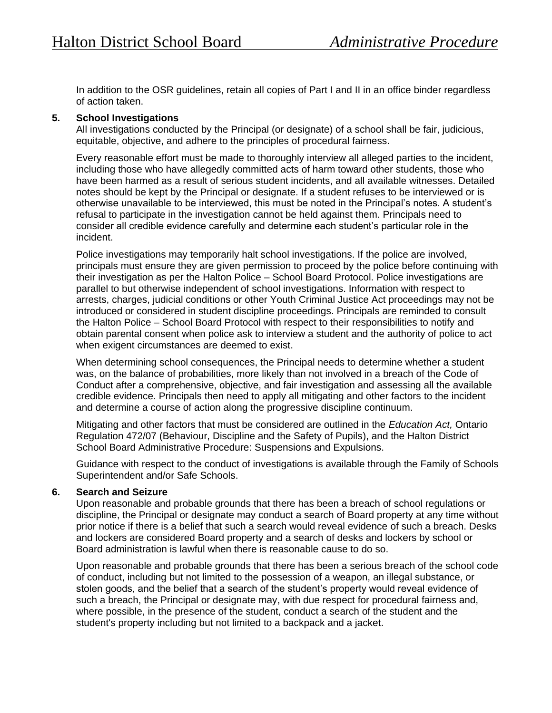In addition to the OSR guidelines, retain all copies of Part I and II in an office binder regardless of action taken.

## **5. School Investigations**

All investigations conducted by the Principal (or designate) of a school shall be fair, judicious, equitable, objective, and adhere to the principles of procedural fairness.

Every reasonable effort must be made to thoroughly interview all alleged parties to the incident, including those who have allegedly committed acts of harm toward other students, those who have been harmed as a result of serious student incidents, and all available witnesses. Detailed notes should be kept by the Principal or designate. If a student refuses to be interviewed or is otherwise unavailable to be interviewed, this must be noted in the Principal's notes. A student's refusal to participate in the investigation cannot be held against them. Principals need to consider all credible evidence carefully and determine each student's particular role in the incident.

Police investigations may temporarily halt school investigations. If the police are involved, principals must ensure they are given permission to proceed by the police before continuing with their investigation as per the Halton Police – School Board Protocol. Police investigations are parallel to but otherwise independent of school investigations. Information with respect to arrests, charges, judicial conditions or other Youth Criminal Justice Act proceedings may not be introduced or considered in student discipline proceedings. Principals are reminded to consult the Halton Police – School Board Protocol with respect to their responsibilities to notify and obtain parental consent when police ask to interview a student and the authority of police to act when exigent circumstances are deemed to exist.

When determining school consequences, the Principal needs to determine whether a student was, on the balance of probabilities, more likely than not involved in a breach of the Code of Conduct after a comprehensive, objective, and fair investigation and assessing all the available credible evidence. Principals then need to apply all mitigating and other factors to the incident and determine a course of action along the progressive discipline continuum.

Mitigating and other factors that must be considered are outlined in the *Education Act,* Ontario Regulation 472/07 (Behaviour, Discipline and the Safety of Pupils), and the Halton District School Board Administrative Procedure: Suspensions and Expulsions.

Guidance with respect to the conduct of investigations is available through the Family of Schools Superintendent and/or Safe Schools.

## **6. Search and Seizure**

Upon reasonable and probable grounds that there has been a breach of school regulations or discipline, the Principal or designate may conduct a search of Board property at any time without prior notice if there is a belief that such a search would reveal evidence of such a breach. Desks and lockers are considered Board property and a search of desks and lockers by school or Board administration is lawful when there is reasonable cause to do so.

Upon reasonable and probable grounds that there has been a serious breach of the school code of conduct, including but not limited to the possession of a weapon, an illegal substance, or stolen goods, and the belief that a search of the student's property would reveal evidence of such a breach, the Principal or designate may, with due respect for procedural fairness and, where possible, in the presence of the student, conduct a search of the student and the student's property including but not limited to a backpack and a jacket.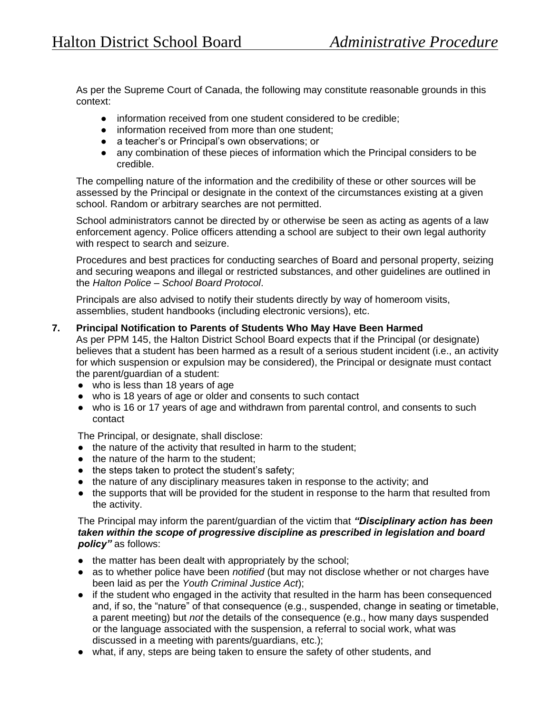As per the Supreme Court of Canada, the following may constitute reasonable grounds in this context:

- information received from one student considered to be credible;
- information received from more than one student;
- a teacher's or Principal's own observations; or
- any combination of these pieces of information which the Principal considers to be credible.

The compelling nature of the information and the credibility of these or other sources will be assessed by the Principal or designate in the context of the circumstances existing at a given school. Random or arbitrary searches are not permitted.

School administrators cannot be directed by or otherwise be seen as acting as agents of a law enforcement agency. Police officers attending a school are subject to their own legal authority with respect to search and seizure.

Procedures and best practices for conducting searches of Board and personal property, seizing and securing weapons and illegal or restricted substances, and other guidelines are outlined in the *Halton Police – School Board Protocol*.

Principals are also advised to notify their students directly by way of homeroom visits, assemblies, student handbooks (including electronic versions), etc.

## **7. Principal Notification to Parents of Students Who May Have Been Harmed**

As per PPM 145, the Halton District School Board expects that if the Principal (or designate) believes that a student has been harmed as a result of a serious student incident (i.e., an activity for which suspension or expulsion may be considered), the Principal or designate must contact the parent/guardian of a student:

- who is less than 18 years of age
- who is 18 years of age or older and consents to such contact
- who is 16 or 17 years of age and withdrawn from parental control, and consents to such contact

The Principal, or designate, shall disclose:

- the nature of the activity that resulted in harm to the student;
- the nature of the harm to the student:
- the steps taken to protect the student's safety;
- the nature of any disciplinary measures taken in response to the activity; and
- the supports that will be provided for the student in response to the harm that resulted from the activity.

The Principal may inform the parent/guardian of the victim that *"Disciplinary action has been taken within the scope of progressive discipline as prescribed in legislation and board policy"* as follows:

- the matter has been dealt with appropriately by the school;
- as to whether police have been *notified* (but may not disclose whether or not charges have been laid as per the *Youth Criminal Justice Act*);
- if the student who engaged in the activity that resulted in the harm has been consequenced and, if so, the "nature" of that consequence (e.g., suspended, change in seating or timetable, a parent meeting) but *not* the details of the consequence (e.g., how many days suspended or the language associated with the suspension, a referral to social work, what was discussed in a meeting with parents/guardians, etc.);
- what, if any, steps are being taken to ensure the safety of other students, and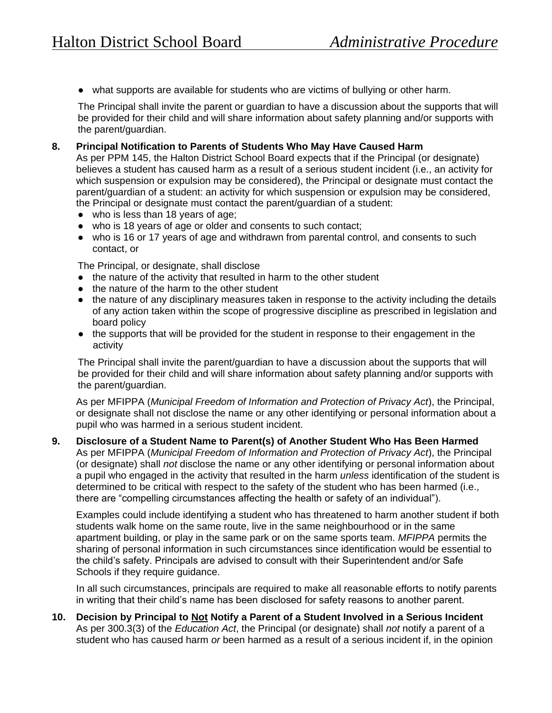● what supports are available for students who are victims of bullying or other harm.

The Principal shall invite the parent or guardian to have a discussion about the supports that will be provided for their child and will share information about safety planning and/or supports with the parent/guardian.

#### **8. Principal Notification to Parents of Students Who May Have Caused Harm**

As per PPM 145, the Halton District School Board expects that if the Principal (or designate) believes a student has caused harm as a result of a serious student incident (i.e., an activity for which suspension or expulsion may be considered), the Principal or designate must contact the parent/guardian of a student: an activity for which suspension or expulsion may be considered, the Principal or designate must contact the parent/guardian of a student:

- who is less than 18 years of age;
- who is 18 years of age or older and consents to such contact;
- who is 16 or 17 years of age and withdrawn from parental control, and consents to such contact, or

The Principal, or designate, shall disclose

- the nature of the activity that resulted in harm to the other student
- the nature of the harm to the other student
- the nature of any disciplinary measures taken in response to the activity including the details of any action taken within the scope of progressive discipline as prescribed in legislation and board policy
- the supports that will be provided for the student in response to their engagement in the activity

The Principal shall invite the parent/guardian to have a discussion about the supports that will be provided for their child and will share information about safety planning and/or supports with the parent/guardian.

As per MFIPPA (*Municipal Freedom of Information and Protection of Privacy Act*), the Principal, or designate shall not disclose the name or any other identifying or personal information about a pupil who was harmed in a serious student incident.

## **9. Disclosure of a Student Name to Parent(s) of Another Student Who Has Been Harmed**

As per MFIPPA (*Municipal Freedom of Information and Protection of Privacy Act*), the Principal (or designate) shall *not* disclose the name or any other identifying or personal information about a pupil who engaged in the activity that resulted in the harm *unless* identification of the student is determined to be critical with respect to the safety of the student who has been harmed (i.e., there are "compelling circumstances affecting the health or safety of an individual").

Examples could include identifying a student who has threatened to harm another student if both students walk home on the same route, live in the same neighbourhood or in the same apartment building, or play in the same park or on the same sports team. *MFIPPA* permits the sharing of personal information in such circumstances since identification would be essential to the child's safety. Principals are advised to consult with their Superintendent and/or Safe Schools if they require guidance.

In all such circumstances, principals are required to make all reasonable efforts to notify parents in writing that their child's name has been disclosed for safety reasons to another parent.

**10. Decision by Principal to Not Notify a Parent of a Student Involved in a Serious Incident** As per 300.3(3) of the *Education Act*, the Principal (or designate) shall *not* notify a parent of a student who has caused harm *or* been harmed as a result of a serious incident if, in the opinion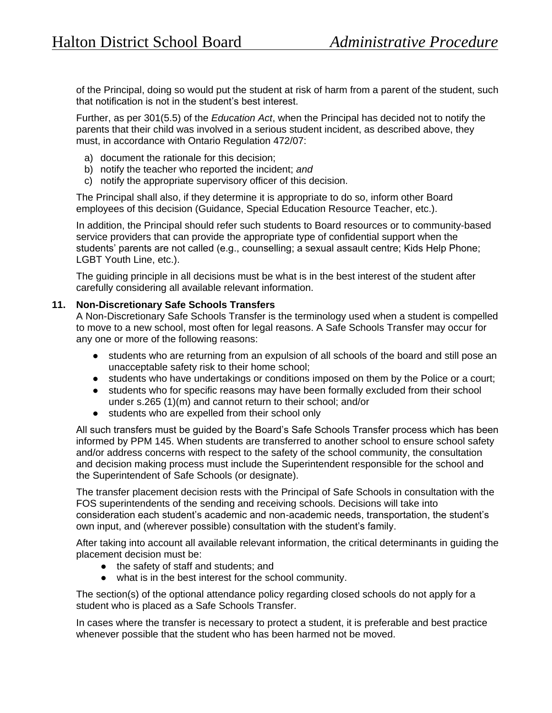of the Principal, doing so would put the student at risk of harm from a parent of the student, such that notification is not in the student's best interest.

Further, as per 301(5.5) of the *Education Act*, when the Principal has decided not to notify the parents that their child was involved in a serious student incident, as described above, they must, in accordance with Ontario Regulation 472/07:

- a) document the rationale for this decision;
- b) notify the teacher who reported the incident; *and*
- c) notify the appropriate supervisory officer of this decision.

The Principal shall also, if they determine it is appropriate to do so, inform other Board employees of this decision (Guidance, Special Education Resource Teacher, etc.).

In addition, the Principal should refer such students to Board resources or to community-based service providers that can provide the appropriate type of confidential support when the students' parents are not called (e.g., counselling; a sexual assault centre; Kids Help Phone; LGBT Youth Line, etc.).

The guiding principle in all decisions must be what is in the best interest of the student after carefully considering all available relevant information.

## **11. Non-Discretionary Safe Schools Transfers**

A Non-Discretionary Safe Schools Transfer is the terminology used when a student is compelled to move to a new school, most often for legal reasons. A Safe Schools Transfer may occur for any one or more of the following reasons:

- students who are returning from an expulsion of all schools of the board and still pose an unacceptable safety risk to their home school;
- students who have undertakings or conditions imposed on them by the Police or a court;
- students who for specific reasons may have been formally excluded from their school under s.265 (1)(m) and cannot return to their school; and/or
- students who are expelled from their school only

All such transfers must be guided by the Board's Safe Schools Transfer process which has been informed by PPM 145. When students are transferred to another school to ensure school safety and/or address concerns with respect to the safety of the school community, the consultation and decision making process must include the Superintendent responsible for the school and the Superintendent of Safe Schools (or designate).

The transfer placement decision rests with the Principal of Safe Schools in consultation with the FOS superintendents of the sending and receiving schools. Decisions will take into consideration each student's academic and non-academic needs, transportation, the student's own input, and (wherever possible) consultation with the student's family.

After taking into account all available relevant information, the critical determinants in guiding the placement decision must be:

- the safety of staff and students; and
- what is in the best interest for the school community.

The section(s) of the optional attendance policy regarding closed schools do not apply for a student who is placed as a Safe Schools Transfer.

In cases where the transfer is necessary to protect a student, it is preferable and best practice whenever possible that the student who has been harmed not be moved.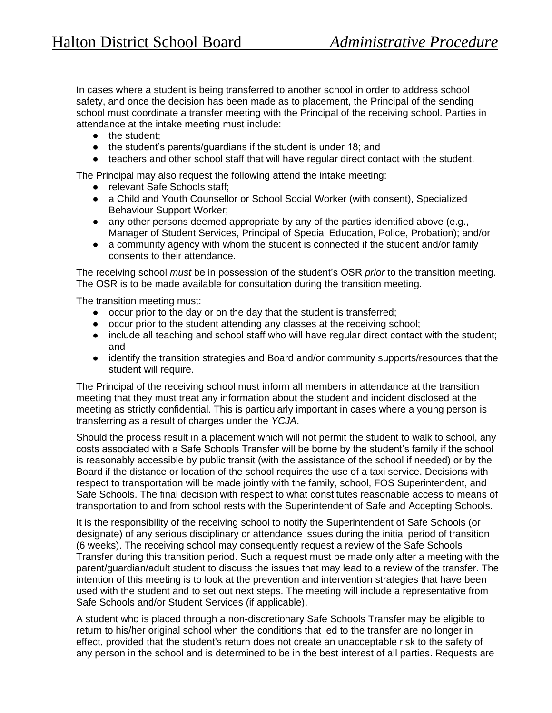In cases where a student is being transferred to another school in order to address school safety, and once the decision has been made as to placement, the Principal of the sending school must coordinate a transfer meeting with the Principal of the receiving school. Parties in attendance at the intake meeting must include:

- the student;
- the student's parents/guardians if the student is under 18; and
- teachers and other school staff that will have regular direct contact with the student.

The Principal may also request the following attend the intake meeting:

- relevant Safe Schools staff:
- a Child and Youth Counsellor or School Social Worker (with consent), Specialized Behaviour Support Worker;
- any other persons deemed appropriate by any of the parties identified above (e.g., Manager of Student Services, Principal of Special Education, Police, Probation); and/or
- a community agency with whom the student is connected if the student and/or family consents to their attendance.

The receiving school *must* be in possession of the student's OSR *prior* to the transition meeting. The OSR is to be made available for consultation during the transition meeting.

The transition meeting must:

- occur prior to the day or on the day that the student is transferred;
- occur prior to the student attending any classes at the receiving school;
- include all teaching and school staff who will have regular direct contact with the student; and
- identify the transition strategies and Board and/or community supports/resources that the student will require.

The Principal of the receiving school must inform all members in attendance at the transition meeting that they must treat any information about the student and incident disclosed at the meeting as strictly confidential. This is particularly important in cases where a young person is transferring as a result of charges under the *YCJA*.

Should the process result in a placement which will not permit the student to walk to school, any costs associated with a Safe Schools Transfer will be borne by the student's family if the school is reasonably accessible by public transit (with the assistance of the school if needed) or by the Board if the distance or location of the school requires the use of a taxi service. Decisions with respect to transportation will be made jointly with the family, school, FOS Superintendent, and Safe Schools. The final decision with respect to what constitutes reasonable access to means of transportation to and from school rests with the Superintendent of Safe and Accepting Schools.

It is the responsibility of the receiving school to notify the Superintendent of Safe Schools (or designate) of any serious disciplinary or attendance issues during the initial period of transition (6 weeks). The receiving school may consequently request a review of the Safe Schools Transfer during this transition period. Such a request must be made only after a meeting with the parent/guardian/adult student to discuss the issues that may lead to a review of the transfer. The intention of this meeting is to look at the prevention and intervention strategies that have been used with the student and to set out next steps. The meeting will include a representative from Safe Schools and/or Student Services (if applicable).

A student who is placed through a non-discretionary Safe Schools Transfer may be eligible to return to his/her original school when the conditions that led to the transfer are no longer in effect, provided that the student's return does not create an unacceptable risk to the safety of any person in the school and is determined to be in the best interest of all parties. Requests are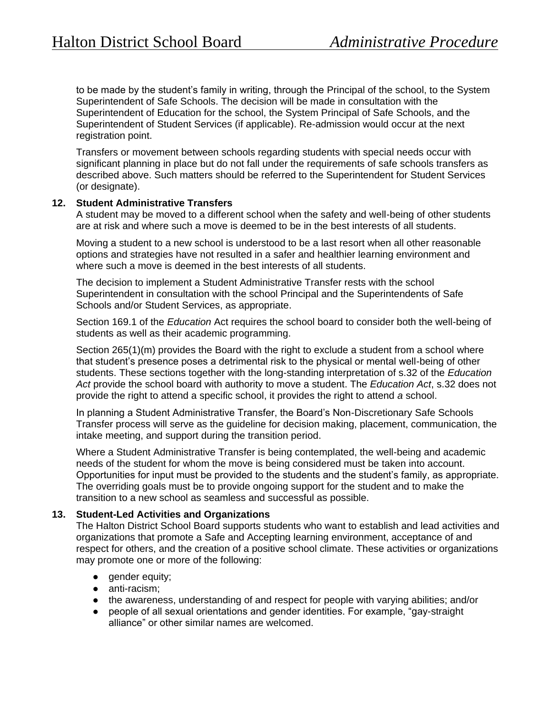to be made by the student's family in writing, through the Principal of the school, to the System Superintendent of Safe Schools. The decision will be made in consultation with the Superintendent of Education for the school, the System Principal of Safe Schools, and the Superintendent of Student Services (if applicable). Re-admission would occur at the next registration point.

Transfers or movement between schools regarding students with special needs occur with significant planning in place but do not fall under the requirements of safe schools transfers as described above. Such matters should be referred to the Superintendent for Student Services (or designate).

## **12. Student Administrative Transfers**

A student may be moved to a different school when the safety and well-being of other students are at risk and where such a move is deemed to be in the best interests of all students.

Moving a student to a new school is understood to be a last resort when all other reasonable options and strategies have not resulted in a safer and healthier learning environment and where such a move is deemed in the best interests of all students.

The decision to implement a Student Administrative Transfer rests with the school Superintendent in consultation with the school Principal and the Superintendents of Safe Schools and/or Student Services, as appropriate.

Section 169.1 of the *Education* Act requires the school board to consider both the well-being of students as well as their academic programming.

Section 265(1)(m) provides the Board with the right to exclude a student from a school where that student's presence poses a detrimental risk to the physical or mental well-being of other students. These sections together with the long-standing interpretation of s.32 of the *Education Act* provide the school board with authority to move a student. The *Education Act*, s.32 does not provide the right to attend a specific school, it provides the right to attend *a* school.

In planning a Student Administrative Transfer, the Board's Non-Discretionary Safe Schools Transfer process will serve as the guideline for decision making, placement, communication, the intake meeting, and support during the transition period.

Where a Student Administrative Transfer is being contemplated, the well-being and academic needs of the student for whom the move is being considered must be taken into account. Opportunities for input must be provided to the students and the student's family, as appropriate. The overriding goals must be to provide ongoing support for the student and to make the transition to a new school as seamless and successful as possible.

## **13. Student-Led Activities and Organizations**

The Halton District School Board supports students who want to establish and lead activities and organizations that promote a Safe and Accepting learning environment, acceptance of and respect for others, and the creation of a positive school climate. These activities or organizations may promote one or more of the following:

- **•** gender equity;
- anti-racism;
- the awareness, understanding of and respect for people with varying abilities; and/or
- people of all sexual orientations and gender identities. For example, "gay-straight alliance" or other similar names are welcomed.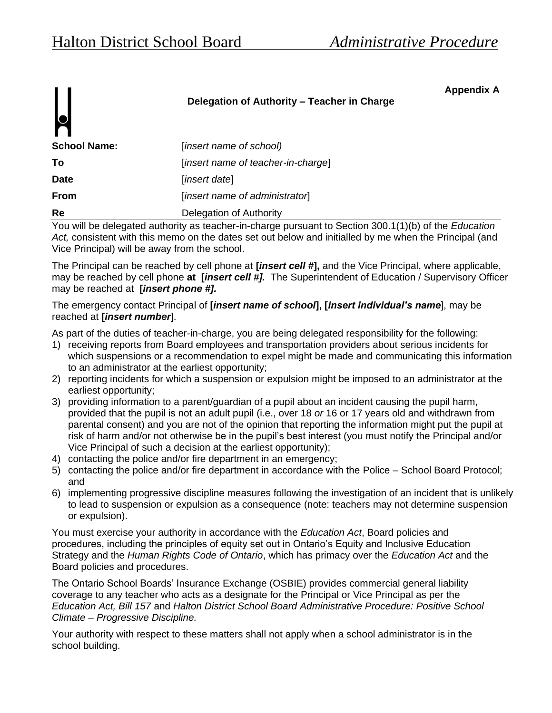**Appendix A**

## **Delegation of Authority – Teacher in Charge**

| . .                 |                                    |
|---------------------|------------------------------------|
| <b>School Name:</b> | (insert name of school)            |
| Τo                  | [insert name of teacher-in-charge] |
| <b>Date</b>         | [insert date]                      |
| <b>From</b>         | [insert name of administrator]     |
| Re                  | Delegation of Authority            |

You will be delegated authority as teacher-in-charge pursuant to Section 300.1(1)(b) of the *Education Act,* consistent with this memo on the dates set out below and initialled by me when the Principal (and Vice Principal) will be away from the school.

The Principal can be reached by cell phone at **[***insert cell #***],** and the Vice Principal, where applicable, may be reached by cell phone **at [***insert cell #].* The Superintendent of Education / Supervisory Officer may be reached at **[***insert phone #].*

## The emergency contact Principal of **[***insert name of school***], [***insert individual's name*], may be reached at **[***insert number*].

As part of the duties of teacher-in-charge, you are being delegated responsibility for the following:

- 1) receiving reports from Board employees and transportation providers about serious incidents for which suspensions or a recommendation to expel might be made and communicating this information to an administrator at the earliest opportunity;
- 2) reporting incidents for which a suspension or expulsion might be imposed to an administrator at the earliest opportunity;
- 3) providing information to a parent/guardian of a pupil about an incident causing the pupil harm, provided that the pupil is not an adult pupil (i.e., over 18 *or* 16 or 17 years old and withdrawn from parental consent) and you are not of the opinion that reporting the information might put the pupil at risk of harm and/or not otherwise be in the pupil's best interest (you must notify the Principal and/or Vice Principal of such a decision at the earliest opportunity);
- 4) contacting the police and/or fire department in an emergency;
- 5) contacting the police and/or fire department in accordance with the Police School Board Protocol; and
- 6) implementing progressive discipline measures following the investigation of an incident that is unlikely to lead to suspension or expulsion as a consequence (note: teachers may not determine suspension or expulsion).

You must exercise your authority in accordance with the *Education Act*, Board policies and procedures, including the principles of equity set out in Ontario's Equity and Inclusive Education Strategy and the *Human Rights Code of Ontario*, which has primacy over the *Education Act* and the Board policies and procedures.

The Ontario School Boards' Insurance Exchange (OSBIE) provides commercial general liability coverage to any teacher who acts as a designate for the Principal or Vice Principal as per the *Education Act, Bill 157* and *Halton District School Board Administrative Procedure: Positive School Climate – Progressive Discipline.*

Your authority with respect to these matters shall not apply when a school administrator is in the school building.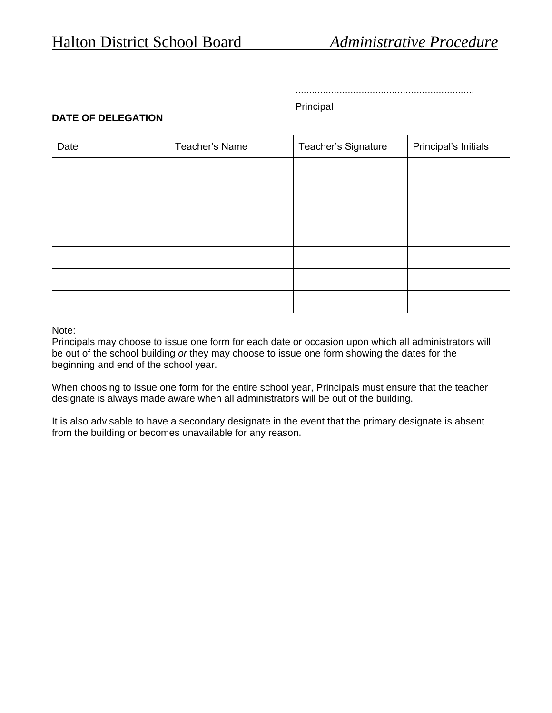.................................................................

## Principal

## **DATE OF DELEGATION**

| Date | Teacher's Name | Teacher's Signature | Principal's Initials |
|------|----------------|---------------------|----------------------|
|      |                |                     |                      |
|      |                |                     |                      |
|      |                |                     |                      |
|      |                |                     |                      |
|      |                |                     |                      |
|      |                |                     |                      |
|      |                |                     |                      |

#### Note:

Principals may choose to issue one form for each date or occasion upon which all administrators will be out of the school building *or* they may choose to issue one form showing the dates for the beginning and end of the school year.

When choosing to issue one form for the entire school year, Principals must ensure that the teacher designate is always made aware when all administrators will be out of the building.

It is also advisable to have a secondary designate in the event that the primary designate is absent from the building or becomes unavailable for any reason.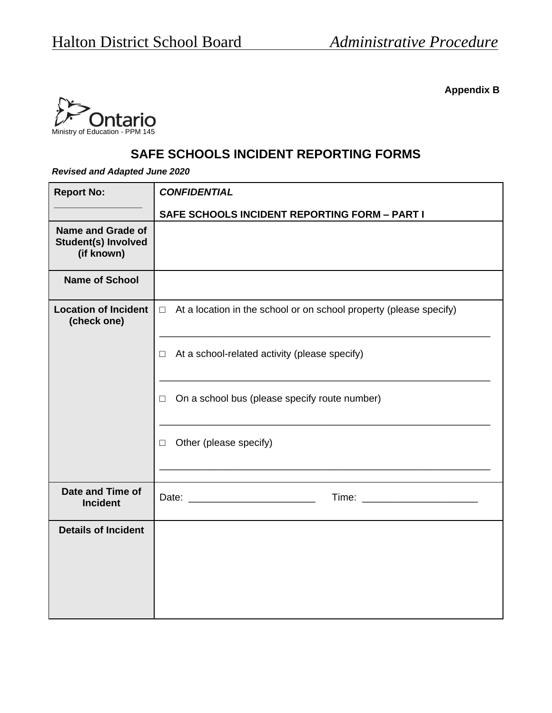**Appendix B**



# **SAFE SCHOOLS INCIDENT REPORTING FORMS**

*Revised and Adapted June 2020*

| <b>Report No:</b>                                                    | <b>CONFIDENTIAL</b>                                                          |
|----------------------------------------------------------------------|------------------------------------------------------------------------------|
|                                                                      | SAFE SCHOOLS INCIDENT REPORTING FORM - PART I                                |
| <b>Name and Grade of</b><br><b>Student(s) Involved</b><br>(if known) |                                                                              |
| <b>Name of School</b>                                                |                                                                              |
| <b>Location of Incident</b><br>(check one)                           | At a location in the school or on school property (please specify)<br>$\Box$ |
|                                                                      | At a school-related activity (please specify)<br>$\Box$                      |
|                                                                      | On a school bus (please specify route number)<br>□                           |
|                                                                      | Other (please specify)<br>□                                                  |
|                                                                      |                                                                              |
| Date and Time of<br><b>Incident</b>                                  | Time: _________________________                                              |
| <b>Details of Incident</b>                                           |                                                                              |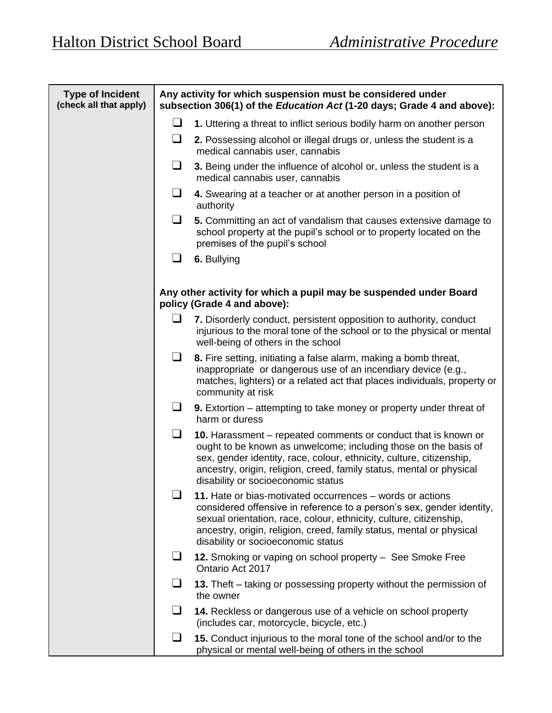| <b>Type of Incident</b><br>(check all that apply) | Any activity for which suspension must be considered under<br>subsection 306(1) of the <i>Education Act</i> (1-20 days; Grade 4 and above): |                                                                                                                                                                                                                                                                                                                         |  |
|---------------------------------------------------|---------------------------------------------------------------------------------------------------------------------------------------------|-------------------------------------------------------------------------------------------------------------------------------------------------------------------------------------------------------------------------------------------------------------------------------------------------------------------------|--|
|                                                   | ⊔                                                                                                                                           | 1. Uttering a threat to inflict serious bodily harm on another person                                                                                                                                                                                                                                                   |  |
|                                                   | ⊔                                                                                                                                           | 2. Possessing alcohol or illegal drugs or, unless the student is a<br>medical cannabis user, cannabis                                                                                                                                                                                                                   |  |
|                                                   | ⊔                                                                                                                                           | 3. Being under the influence of alcohol or, unless the student is a<br>medical cannabis user, cannabis                                                                                                                                                                                                                  |  |
|                                                   | ⊔                                                                                                                                           | 4. Swearing at a teacher or at another person in a position of<br>authority                                                                                                                                                                                                                                             |  |
|                                                   | ப                                                                                                                                           | 5. Committing an act of vandalism that causes extensive damage to<br>school property at the pupil's school or to property located on the<br>premises of the pupil's school                                                                                                                                              |  |
|                                                   | ப                                                                                                                                           | 6. Bullying                                                                                                                                                                                                                                                                                                             |  |
|                                                   |                                                                                                                                             | Any other activity for which a pupil may be suspended under Board<br>policy (Grade 4 and above):                                                                                                                                                                                                                        |  |
|                                                   | ப                                                                                                                                           | 7. Disorderly conduct, persistent opposition to authority, conduct<br>injurious to the moral tone of the school or to the physical or mental<br>well-being of others in the school                                                                                                                                      |  |
|                                                   | ப                                                                                                                                           | 8. Fire setting, initiating a false alarm, making a bomb threat,<br>inappropriate or dangerous use of an incendiary device (e.g.,<br>matches, lighters) or a related act that places individuals, property or<br>community at risk                                                                                      |  |
|                                                   | ⊔                                                                                                                                           | 9. Extortion – attempting to take money or property under threat of<br>harm or duress                                                                                                                                                                                                                                   |  |
|                                                   | $\Box$                                                                                                                                      | 10. Harassment – repeated comments or conduct that is known or<br>ought to be known as unwelcome; including those on the basis of<br>sex, gender identity, race, colour, ethnicity, culture, citizenship,<br>ancestry, origin, religion, creed, family status, mental or physical<br>disability or socioeconomic status |  |
|                                                   | $\Box$                                                                                                                                      | 11. Hate or bias-motivated occurrences – words or actions<br>considered offensive in reference to a person's sex, gender identity,<br>sexual orientation, race, colour, ethnicity, culture, citizenship,<br>ancestry, origin, religion, creed, family status, mental or physical<br>disability or socioeconomic status  |  |
|                                                   |                                                                                                                                             | 12. Smoking or vaping on school property - See Smoke Free<br>Ontario Act 2017                                                                                                                                                                                                                                           |  |
|                                                   |                                                                                                                                             | 13. Theft – taking or possessing property without the permission of<br>the owner                                                                                                                                                                                                                                        |  |
|                                                   |                                                                                                                                             | 14. Reckless or dangerous use of a vehicle on school property<br>(includes car, motorcycle, bicycle, etc.)                                                                                                                                                                                                              |  |
|                                                   | $\Box$                                                                                                                                      | 15. Conduct injurious to the moral tone of the school and/or to the<br>physical or mental well-being of others in the school                                                                                                                                                                                            |  |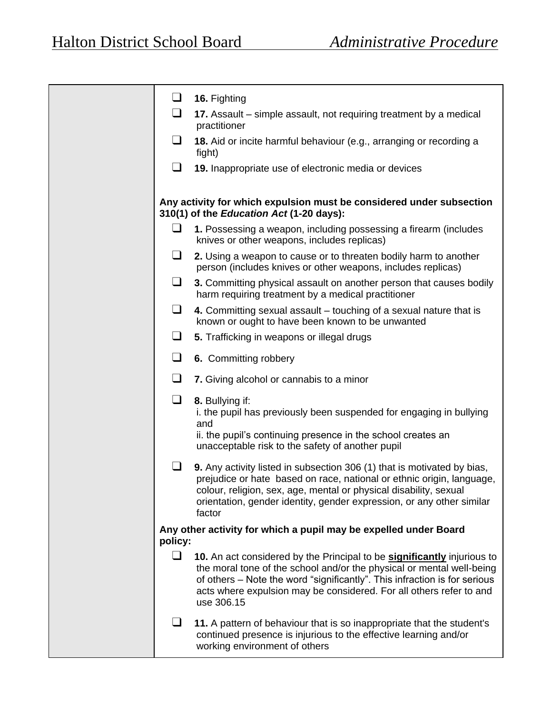| $\Box$  | 16. Fighting                                                                                                                                                                                                                                                                                                              |
|---------|---------------------------------------------------------------------------------------------------------------------------------------------------------------------------------------------------------------------------------------------------------------------------------------------------------------------------|
| $\Box$  | 17. Assault – simple assault, not requiring treatment by a medical<br>practitioner                                                                                                                                                                                                                                        |
| $\Box$  | 18. Aid or incite harmful behaviour (e.g., arranging or recording a<br>fight)                                                                                                                                                                                                                                             |
| $\Box$  | 19. Inappropriate use of electronic media or devices                                                                                                                                                                                                                                                                      |
|         | Any activity for which expulsion must be considered under subsection<br>310(1) of the Education Act (1-20 days):                                                                                                                                                                                                          |
| ப       | 1. Possessing a weapon, including possessing a firearm (includes<br>knives or other weapons, includes replicas)                                                                                                                                                                                                           |
| ⊔       | 2. Using a weapon to cause or to threaten bodily harm to another<br>person (includes knives or other weapons, includes replicas)                                                                                                                                                                                          |
| ⊔       | 3. Committing physical assault on another person that causes bodily<br>harm requiring treatment by a medical practitioner                                                                                                                                                                                                 |
| ⊔       | 4. Committing sexual assault – touching of a sexual nature that is<br>known or ought to have been known to be unwanted                                                                                                                                                                                                    |
| ⊔       | 5. Trafficking in weapons or illegal drugs                                                                                                                                                                                                                                                                                |
| $\Box$  | 6. Committing robbery                                                                                                                                                                                                                                                                                                     |
| $\Box$  | 7. Giving alcohol or cannabis to a minor                                                                                                                                                                                                                                                                                  |
| $\Box$  | 8. Bullying if:<br>i. the pupil has previously been suspended for engaging in bullying<br>and<br>ii. the pupil's continuing presence in the school creates an<br>unacceptable risk to the safety of another pupil                                                                                                         |
| ப       | 9. Any activity listed in subsection 306 (1) that is motivated by bias,<br>prejudice or hate based on race, national or ethnic origin, language,<br>colour, religion, sex, age, mental or physical disability, sexual<br>orientation, gender identity, gender expression, or any other similar<br>factor                  |
| policy: | Any other activity for which a pupil may be expelled under Board                                                                                                                                                                                                                                                          |
| $\Box$  | 10. An act considered by the Principal to be <b>significantly</b> injurious to<br>the moral tone of the school and/or the physical or mental well-being<br>of others – Note the word "significantly". This infraction is for serious<br>acts where expulsion may be considered. For all others refer to and<br>use 306.15 |
| ப       | 11. A pattern of behaviour that is so inappropriate that the student's<br>continued presence is injurious to the effective learning and/or<br>working environment of others                                                                                                                                               |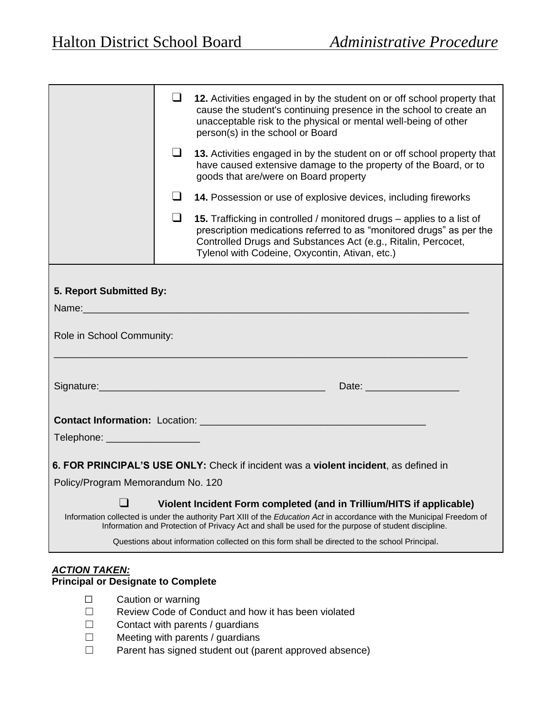|                                   | ⊔   | 12. Activities engaged in by the student on or off school property that<br>cause the student's continuing presence in the school to create an<br>unacceptable risk to the physical or mental well-being of other<br>person(s) in the school or Board                                                  |
|-----------------------------------|-----|-------------------------------------------------------------------------------------------------------------------------------------------------------------------------------------------------------------------------------------------------------------------------------------------------------|
|                                   | ப   | 13. Activities engaged in by the student on or off school property that<br>have caused extensive damage to the property of the Board, or to<br>goods that are/were on Board property                                                                                                                  |
|                                   |     | 14. Possession or use of explosive devices, including fireworks                                                                                                                                                                                                                                       |
|                                   | - 1 | 15. Trafficking in controlled / monitored drugs – applies to a list of<br>prescription medications referred to as "monitored drugs" as per the<br>Controlled Drugs and Substances Act (e.g., Ritalin, Percocet,<br>Tylenol with Codeine, Oxycontin, Ativan, etc.)                                     |
| 5. Report Submitted By:           |     |                                                                                                                                                                                                                                                                                                       |
| Role in School Community:         |     |                                                                                                                                                                                                                                                                                                       |
|                                   |     |                                                                                                                                                                                                                                                                                                       |
|                                   |     |                                                                                                                                                                                                                                                                                                       |
| Telephone: ____________________   |     |                                                                                                                                                                                                                                                                                                       |
|                                   |     | 6. FOR PRINCIPAL'S USE ONLY: Check if incident was a violent incident, as defined in                                                                                                                                                                                                                  |
| Policy/Program Memorandum No. 120 |     |                                                                                                                                                                                                                                                                                                       |
| $\blacksquare$                    |     | Violent Incident Form completed (and in Trillium/HITS if applicable)<br>Information collected is under the authority Part XIII of the Education Act in accordance with the Municipal Freedom of<br>Information and Protection of Privacy Act and shall be used for the purpose of student discipline. |
|                                   |     | Questions about information collected on this form shall be directed to the school Principal.                                                                                                                                                                                                         |
|                                   |     |                                                                                                                                                                                                                                                                                                       |

## *ACTION TAKEN:*

## **Principal or Designate to Complete**

- ☐ Caution or warning
- ☐ Review Code of Conduct and how it has been violated
- ☐ Contact with parents / guardians
- ☐ Meeting with parents / guardians
- ☐ Parent has signed student out (parent approved absence)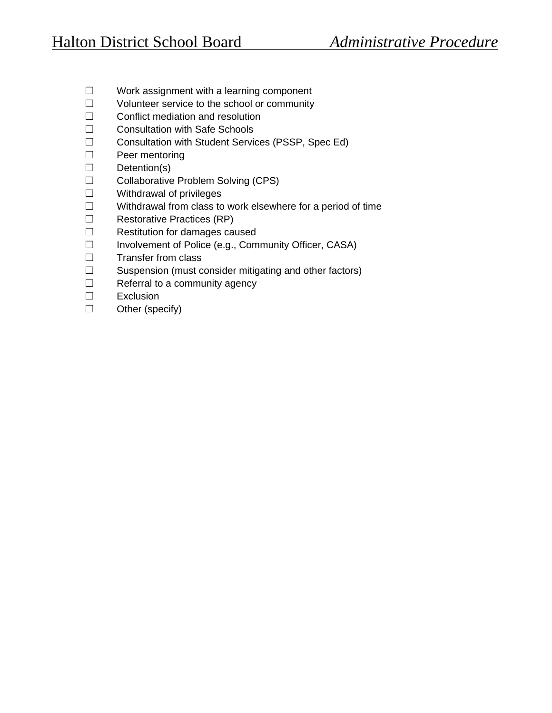- ☐ Work assignment with a learning component
- ☐ Volunteer service to the school or community
- ☐ Conflict mediation and resolution
- ☐ Consultation with Safe Schools
- ☐ Consultation with Student Services (PSSP, Spec Ed)
- ☐ Peer mentoring
- ☐ Detention(s)
- ☐ Collaborative Problem Solving (CPS)
- ☐ Withdrawal of privileges
- ☐ Withdrawal from class to work elsewhere for a period of time
- ☐ Restorative Practices (RP)
- ☐ Restitution for damages caused
- ☐ Involvement of Police (e.g., Community Officer, CASA)
- ☐ Transfer from class
- ☐ Suspension (must consider mitigating and other factors)
- ☐ Referral to a community agency
- ☐ Exclusion
- ☐ Other (specify)